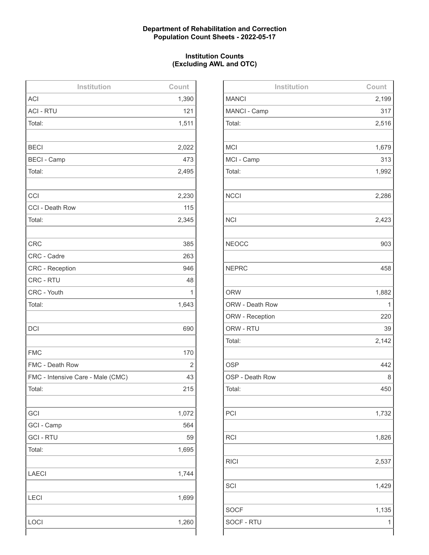## **Department of Rehabilitation and Correction Population Count Sheets - 2022-05-17**

## **Institution Counts (Excluding AWL and OTC)**

| Institution                       | Count |
|-----------------------------------|-------|
| <b>ACI</b>                        | 1,390 |
| <b>ACI - RTU</b>                  | 121   |
| Total:                            | 1,511 |
|                                   |       |
| <b>BECI</b>                       | 2,022 |
| <b>BECI - Camp</b>                | 473   |
| Total:                            | 2,495 |
|                                   |       |
| CCI                               | 2,230 |
| CCI - Death Row                   | 115   |
| Total:                            | 2,345 |
|                                   |       |
| <b>CRC</b>                        | 385   |
| CRC - Cadre                       | 263   |
| <b>CRC - Reception</b>            | 946   |
| CRC - RTU                         | 48    |
| CRC - Youth                       | 1     |
| Total:                            | 1,643 |
|                                   |       |
| <b>DCI</b>                        | 690   |
|                                   |       |
| <b>FMC</b>                        | 170   |
| FMC - Death Row                   | 2     |
| FMC - Intensive Care - Male (CMC) | 43    |
| Total:                            | 215   |
|                                   |       |
| GCI                               | 1,072 |
| GCI - Camp                        | 564   |
| <b>GCI - RTU</b>                  | 59    |
| Total:                            | 1,695 |
|                                   |       |
| <b>LAECI</b>                      | 1,744 |
|                                   |       |
| <b>LECI</b>                       | 1,699 |
|                                   |       |
| LOCI                              | 1,260 |
|                                   |       |

| Institution     | Count |
|-----------------|-------|
| <b>MANCI</b>    | 2,199 |
| MANCI - Camp    | 317   |
| Total:          | 2,516 |
|                 |       |
| <b>MCI</b>      | 1,679 |
| MCI - Camp      | 313   |
| Total:          | 1,992 |
|                 |       |
| <b>NCCI</b>     | 2,286 |
|                 |       |
| <b>NCI</b>      | 2,423 |
|                 |       |
| <b>NEOCC</b>    | 903   |
|                 |       |
| <b>NEPRC</b>    | 458   |
|                 |       |
| <b>ORW</b>      | 1,882 |
| ORW - Death Row | 1     |
| ORW - Reception | 220   |
| ORW - RTU       | 39    |
| Total:          | 2,142 |
|                 |       |
| <b>OSP</b>      | 442   |
| OSP - Death Row | 8     |
| Total:          | 450   |
|                 |       |
| PCI             | 1,732 |
|                 |       |
| <b>RCI</b>      | 1,826 |
|                 |       |
| <b>RICI</b>     | 2,537 |
|                 |       |
| SCI             | 1,429 |
|                 |       |
| <b>SOCF</b>     | 1,135 |
| SOCF - RTU      | 1     |
|                 |       |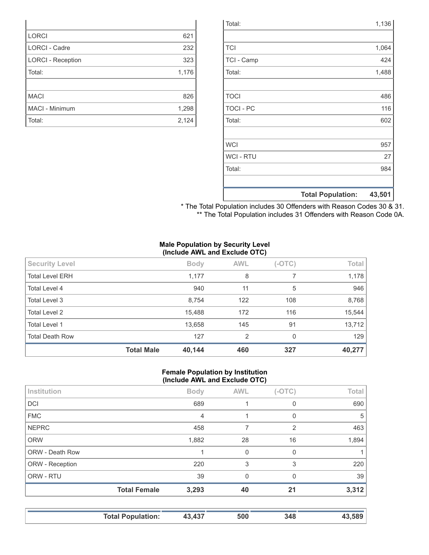|                  | <b>Total Population:</b> | 43,501 |
|------------------|--------------------------|--------|
|                  |                          |        |
| Total:           |                          | 984    |
| <b>WCI - RTU</b> |                          | 27     |
| <b>WCI</b>       |                          | 957    |
|                  |                          |        |
| Total:           |                          | 602    |
| <b>TOCI - PC</b> |                          | 116    |
| <b>TOCI</b>      |                          | 486    |
|                  |                          |        |
| Total:           |                          | 1,488  |
| TCI - Camp       |                          | 424    |
| <b>TCI</b>       |                          | 1,064  |
|                  |                          |        |
| Total:           |                          | 1,136  |

\* The Total Population includes 30 Offenders with Reason Codes 30 & 31. \*\* The Total Population includes 31 Offenders with Reason Code 0A.

#### **Male Population by Security Level (Include AWL and Exclude OTC)**

|                        | <b>Total Male</b> | 40,144      | 460        | 327      | 40,277 |
|------------------------|-------------------|-------------|------------|----------|--------|
| <b>Total Death Row</b> |                   | 127         | 2          | 0        | 129    |
| Total Level 1          |                   | 13,658      | 145        | 91       | 13,712 |
| <b>Total Level 2</b>   |                   | 15,488      | 172        | 116      | 15,544 |
| Total Level 3          |                   | 8,754       | 122        | 108      | 8,768  |
| Total Level 4          |                   | 940         | 11         | 5        | 946    |
| <b>Total Level ERH</b> |                   | 1,177       | 8          |          | 1,178  |
| <b>Security Level</b>  |                   | <b>Body</b> | <b>AWL</b> | $(-OTC)$ | Total  |
|                        | $\sim$            |             |            |          |        |

#### **Female Population by Institution (Include AWL and Exclude OTC)**

| Institution     |                     | <b>Body</b> | <b>AWL</b> | $(-OTC)$       | Total |
|-----------------|---------------------|-------------|------------|----------------|-------|
| <b>DCI</b>      |                     | 689         |            | 0              | 690   |
| <b>FMC</b>      |                     | 4           |            | 0              | 5     |
| <b>NEPRC</b>    |                     | 458         |            | $\overline{2}$ | 463   |
| <b>ORW</b>      |                     | 1,882       | 28         | 16             | 1,894 |
| ORW - Death Row |                     |             | 0          | 0              |       |
| ORW - Reception |                     | 220         | 3          | 3              | 220   |
| ORW - RTU       |                     | 39          | $\Omega$   | 0              | 39    |
|                 | <b>Total Female</b> | 3,293       | 40         | 21             | 3,312 |
|                 |                     |             |            |                |       |

| <b>Total Population:</b> | 43.437 | 500 | 348 | .589 |
|--------------------------|--------|-----|-----|------|

| <b>LORCI</b>             | 621   |
|--------------------------|-------|
| LORCI - Cadre            | 232   |
| <b>LORCI - Reception</b> | 323   |
| Total:                   | 1,176 |
|                          |       |
| <b>MACI</b>              | 826   |
| MACI - Minimum           | 1,298 |
| Total:                   | 2,124 |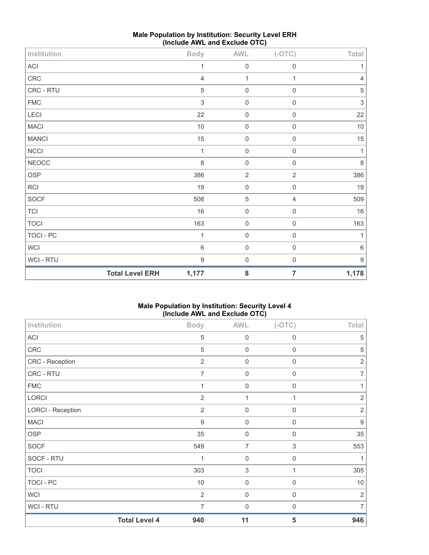| Institution  |                        | <b>Body</b>               | <b>AWL</b>       | $(-OTC)$            | Total            |
|--------------|------------------------|---------------------------|------------------|---------------------|------------------|
| ACI          |                        | 1                         | $\mathbf 0$      | $\mathbf 0$         | 1                |
| CRC          |                        | $\overline{4}$            | 1                | 1                   | $\sqrt{4}$       |
| CRC - RTU    |                        | 5                         | $\boldsymbol{0}$ | $\boldsymbol{0}$    | $\,$ 5 $\,$      |
| <b>FMC</b>   |                        | $\ensuremath{\mathsf{3}}$ | $\mathbf 0$      | $\mathsf{O}\xspace$ | $\sqrt{3}$       |
| LECI         |                        | 22                        | $\mathbf 0$      | $\mathsf 0$         | 22               |
| <b>MACI</b>  |                        | $10$                      | $\boldsymbol{0}$ | $\boldsymbol{0}$    | $10$             |
| <b>MANCI</b> |                        | 15                        | $\mathbf 0$      | $\mathsf{O}\xspace$ | 15               |
| NCCI         |                        | 1                         | $\mathbf 0$      | $\mathbf 0$         | $\mathbf{1}$     |
| <b>NEOCC</b> |                        | 8                         | $\mathbf 0$      | $\mathbf 0$         | $\,8\,$          |
| OSP          |                        | 386                       | $\sqrt{2}$       | $\overline{2}$      | 386              |
| RCI          |                        | 19                        | $\mathbf 0$      | $\mathsf{O}\xspace$ | 19               |
| <b>SOCF</b>  |                        | 508                       | $\,$ 5 $\,$      | $\sqrt{4}$          | 509              |
| TCI          |                        | 16                        | 0                | $\mathbf 0$         | $16$             |
| <b>TOCI</b>  |                        | 163                       | $\mathbf 0$      | $\mathbf 0$         | 163              |
| TOCI - PC    |                        | 1                         | $\mathbf 0$      | $\mathbf 0$         | 1                |
| WCI          |                        | $6\,$                     | $\boldsymbol{0}$ | $\mathsf{O}\xspace$ | $6\,$            |
| WCI - RTU    |                        | $\boldsymbol{9}$          | $\boldsymbol{0}$ | $\mathsf{O}\xspace$ | $\boldsymbol{9}$ |
|              | <b>Total Level ERH</b> | 1,177                     | ${\bf 8}$        | $\overline{7}$      | 1,178            |

# **Male Population by Institution: Security Level ERH (Include AWL and Exclude OTC)**

# **Male Population by Institution: Security Level 4 (Include AWL and Exclude OTC)**

| Institution              |                      | <b>Body</b>      | <b>AWL</b>     | $(-OTC)$                  | Total            |
|--------------------------|----------------------|------------------|----------------|---------------------------|------------------|
| ACI                      |                      | 5                | $\mathbf 0$    | $\boldsymbol{0}$          | 5                |
| CRC                      |                      | 5                | $\mathbf 0$    | 0                         | 5                |
| CRC - Reception          |                      | $\overline{2}$   | $\mathbf 0$    | $\mathbf 0$               | $\sqrt{2}$       |
| CRC - RTU                |                      | 7                | $\mathbf 0$    | $\mathbf 0$               | $\overline{7}$   |
| <b>FMC</b>               |                      | 1                | $\mathbf 0$    | $\mathbf 0$               | 1                |
| LORCI                    |                      | $\overline{2}$   | 1              | 1                         | $\overline{2}$   |
| <b>LORCI - Reception</b> |                      | $\overline{2}$   | $\mathbf 0$    | $\mathbf 0$               | $\overline{2}$   |
| <b>MACI</b>              |                      | $\boldsymbol{9}$ | $\mathbf 0$    | $\boldsymbol{0}$          | $\boldsymbol{9}$ |
| <b>OSP</b>               |                      | 35               | $\mathbf 0$    | $\mathbf 0$               | 35               |
| SOCF                     |                      | 549              | $\overline{7}$ | $\ensuremath{\mathsf{3}}$ | 553              |
| SOCF - RTU               |                      | 1                | $\mathbf 0$    | $\mathbf 0$               | 1                |
| <b>TOCI</b>              |                      | 303              | 3              | 1                         | 305              |
| TOCI - PC                |                      | 10               | $\mathbf 0$    | $\mathbf 0$               | $10$             |
| WCI                      |                      | $\overline{2}$   | $\mathbf 0$    | $\mathbf 0$               | $\sqrt{2}$       |
| <b>WCI-RTU</b>           |                      | 7                | $\mathbf 0$    | 0                         | 7                |
|                          | <b>Total Level 4</b> | 940              | 11             | 5                         | 946              |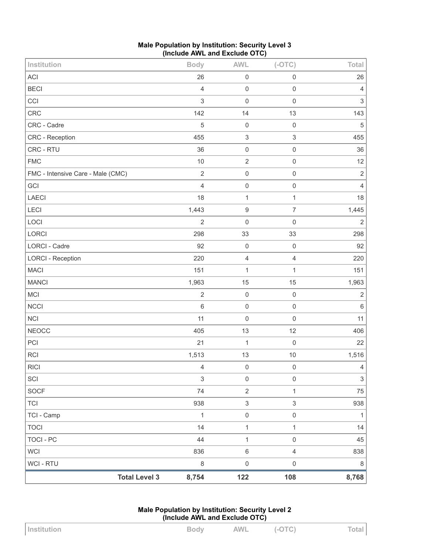| Male Population by Institution: Security Level 3 |  |
|--------------------------------------------------|--|
| (Include AWL and Exclude OTC)                    |  |

| Institution                       | <b>Body</b>               | <b>AWL</b>                | $(-OTC)$            | <b>Total</b>              |
|-----------------------------------|---------------------------|---------------------------|---------------------|---------------------------|
| <b>ACI</b>                        | 26                        | $\mathsf 0$               | $\mathsf{O}\xspace$ | 26                        |
| <b>BECI</b>                       | $\overline{4}$            | $\boldsymbol{0}$          | $\mathbf 0$         | $\overline{4}$            |
| CCI                               | $\sqrt{3}$                | $\mathbf 0$               | $\mathbf 0$         | $\sqrt{3}$                |
| CRC                               | 142                       | 14                        | 13                  | 143                       |
| CRC - Cadre                       | 5                         | $\boldsymbol{0}$          | $\mathbf 0$         | $\sqrt{5}$                |
| CRC - Reception                   | 455                       | $\ensuremath{\mathsf{3}}$ | $\sqrt{3}$          | 455                       |
| CRC - RTU                         | 36                        | $\mathbf 0$               | $\mathsf 0$         | 36                        |
| <b>FMC</b>                        | 10                        | $\sqrt{2}$                | $\mathbf 0$         | 12                        |
| FMC - Intensive Care - Male (CMC) | $\sqrt{2}$                | $\boldsymbol{0}$          | $\mathsf 0$         | $\sqrt{2}$                |
| GCI                               | $\overline{4}$            | $\mathsf 0$               | $\mathbf 0$         | $\overline{4}$            |
| <b>LAECI</b>                      | 18                        | $\mathbf{1}$              | $\mathbf{1}$        | 18                        |
| LECI                              | 1,443                     | $\boldsymbol{9}$          | $\overline{7}$      | 1,445                     |
| LOCI                              | $\overline{2}$            | $\boldsymbol{0}$          | $\mathsf{O}\xspace$ | $\overline{2}$            |
| LORCI                             | 298                       | 33                        | 33                  | 298                       |
| LORCI - Cadre                     | 92                        | $\mathbf 0$               | $\mathbf 0$         | 92                        |
| <b>LORCI - Reception</b>          | 220                       | $\sqrt{4}$                | $\sqrt{4}$          | 220                       |
| <b>MACI</b>                       | 151                       | $\mathbf{1}$              | $\mathbf{1}$        | 151                       |
| <b>MANCI</b>                      | 1,963                     | 15                        | 15                  | 1,963                     |
| <b>MCI</b>                        | $\sqrt{2}$                | $\mathsf 0$               | $\mathbf 0$         | $\sqrt{2}$                |
| <b>NCCI</b>                       | $\,$ 6 $\,$               | $\mathbf 0$               | $\mathsf{O}\xspace$ | $\,6\,$                   |
| <b>NCI</b>                        | 11                        | $\mathbf 0$               | $\mathsf{O}\xspace$ | 11                        |
| <b>NEOCC</b>                      | 405                       | 13                        | 12                  | 406                       |
| PCI                               | 21                        | $\mathbf{1}$              | $\mathbf 0$         | 22                        |
| <b>RCI</b>                        | 1,513                     | 13                        | 10                  | 1,516                     |
| <b>RICI</b>                       | 4                         | $\boldsymbol{0}$          | $\mathbf 0$         | $\sqrt{4}$                |
| SCI                               | $\ensuremath{\mathsf{3}}$ | 0                         | $\mathsf{O}\xspace$ | $\ensuremath{\mathsf{3}}$ |
| <b>SOCF</b>                       | 74                        | $\sqrt{2}$                | $\mathbf{1}$        | 75                        |
| <b>TCI</b>                        | 938                       | $\ensuremath{\mathsf{3}}$ | $\sqrt{3}$          | 938                       |
| TCI - Camp                        | $\mathbf{1}$              | $\mathsf 0$               | $\mathsf{O}\xspace$ | $\mathbf{1}$              |
| <b>TOCI</b>                       | 14                        | $\mathbf{1}$              | $\mathbf{1}$        | 14                        |
| <b>TOCI - PC</b>                  | 44                        | $\mathbf{1}$              | $\mathsf{O}\xspace$ | 45                        |
| <b>WCI</b>                        | 836                       | $\,6\,$                   | $\overline{4}$      | 838                       |
| WCI - RTU                         | $\,8\,$                   | $\boldsymbol{0}$          | $\mathsf{O}\xspace$ | $\,8\,$                   |
| <b>Total Level 3</b>              | 8,754                     | 122                       | 108                 | 8,768                     |

**Male Population by Institution: Security Level 2 (Include AWL and Exclude OTC)**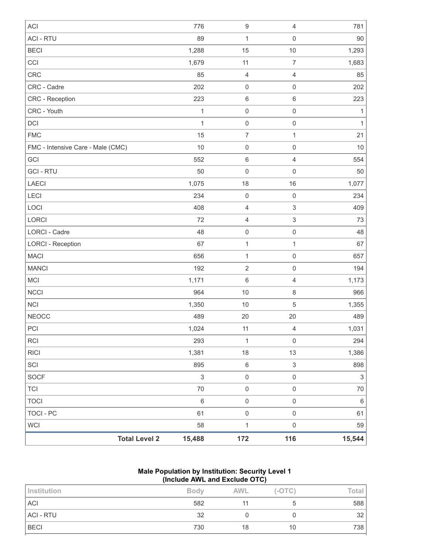| <b>ACI</b>                        |                      | 776                       | $\boldsymbol{9}$ | 4                   | 781            |
|-----------------------------------|----------------------|---------------------------|------------------|---------------------|----------------|
| <b>ACI - RTU</b>                  |                      | 89                        | $\mathbf 1$      | $\mathsf{O}\xspace$ | 90             |
| <b>BECI</b>                       |                      | 1,288                     | 15               | 10                  | 1,293          |
| CCI                               |                      | 1,679                     | 11               | $\overline{7}$      | 1,683          |
| <b>CRC</b>                        |                      | 85                        | $\overline{4}$   | $\overline{4}$      | 85             |
| CRC - Cadre                       |                      | 202                       | $\mathbf 0$      | $\mathbf 0$         | 202            |
| CRC - Reception                   |                      | 223                       | $\,6\,$          | $\,6$               | 223            |
| CRC - Youth                       |                      | 1                         | $\mathbf 0$      | $\mathbf 0$         | 1              |
| DCI                               |                      | 1                         | $\mathbf 0$      | $\mathsf{O}\xspace$ | 1              |
| <b>FMC</b>                        |                      | 15                        | $\boldsymbol{7}$ | 1                   | 21             |
| FMC - Intensive Care - Male (CMC) |                      | $10$                      | $\mathbf 0$      | $\mathsf{O}\xspace$ | 10             |
| GCI                               |                      | 552                       | $\,6\,$          | $\overline{4}$      | 554            |
| <b>GCI - RTU</b>                  |                      | 50                        | $\mathbf 0$      | $\mathbf 0$         | 50             |
| <b>LAECI</b>                      |                      | 1,075                     | 18               | 16                  | 1,077          |
| <b>LECI</b>                       |                      | 234                       | $\mathbf 0$      | $\mathbf 0$         | 234            |
| LOCI                              |                      | 408                       | $\overline{4}$   | 3                   | 409            |
| LORCI                             |                      | 72                        | $\overline{4}$   | 3                   | 73             |
| <b>LORCI - Cadre</b>              |                      | 48                        | $\mathbf 0$      | $\mathsf{O}\xspace$ | 48             |
| <b>LORCI - Reception</b>          |                      | 67                        | $\mathbf 1$      | 1                   | 67             |
| <b>MACI</b>                       |                      | 656                       | $\mathbf{1}$     | $\mathbf 0$         | 657            |
| <b>MANCI</b>                      |                      | 192                       | $\sqrt{2}$       | $\mathsf{O}\xspace$ | 194            |
| MCI                               |                      | 1,171                     | $\,6\,$          | $\overline{4}$      | 1,173          |
| <b>NCCI</b>                       |                      | 964                       | 10               | 8                   | 966            |
| <b>NCI</b>                        |                      | 1,350                     | $10$             | 5                   | 1,355          |
| <b>NEOCC</b>                      |                      | 489                       | 20               | 20                  | 489            |
| PCI                               |                      | 1,024                     | 11               | 4                   | 1,031          |
| <b>RCI</b>                        |                      | 293                       | $\mathbf 1$      | $\mathbf 0$         | 294            |
| <b>RICI</b>                       |                      | 1,381                     | 18               | 13                  | 1,386          |
| SCI                               |                      | 895                       | $\,6\,$          | 3                   | 898            |
| <b>SOCF</b>                       |                      | $\ensuremath{\mathsf{3}}$ | $\mbox{O}$       | $\mathbf 0$         | $\mathfrak{S}$ |
| <b>TCI</b>                        |                      | 70                        | $\mbox{O}$       | $\mathsf{O}\xspace$ | 70             |
| <b>TOCI</b>                       |                      | $\,6\,$                   | $\mathbf 0$      | $\mathbf 0$         | $\,6\,$        |
| <b>TOCI - PC</b>                  |                      | 61                        | $\mathbf 0$      | $\mathsf{O}\xspace$ | 61             |
| <b>WCI</b>                        |                      | 58                        | $\mathbf{1}$     | $\mathsf{O}\xspace$ | 59             |
|                                   | <b>Total Level 2</b> | 15,488                    | 172              | 116                 | 15,544         |

#### **Male Population by Institution: Security Level 1 (Include AWL and Exclude OTC)**

| Institution      | <b>Body</b> | <b>AWL</b> | $(-OTC)$ | Total |  |  |
|------------------|-------------|------------|----------|-------|--|--|
| <b>ACI</b>       | 582         |            |          | 588   |  |  |
| <b>ACI - RTU</b> | 32          |            |          | 32    |  |  |
| <b>BECI</b>      | 730         | 18         | 10       | 738   |  |  |